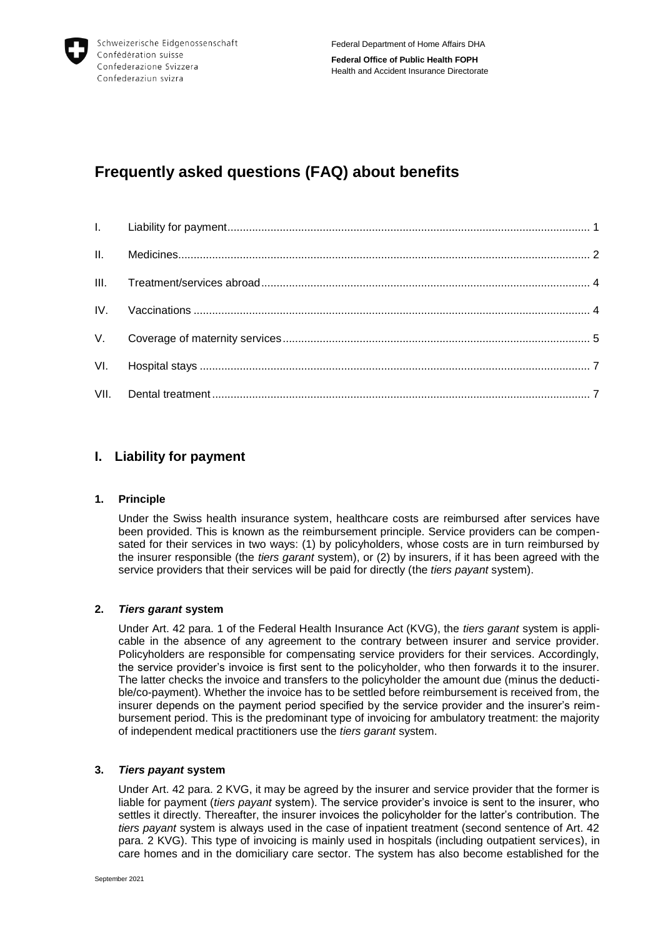

# **Frequently asked questions (FAQ) about benefits**

# <span id="page-0-0"></span>**I. Liability for payment**

# **1. Principle**

Under the Swiss health insurance system, healthcare costs are reimbursed after services have been provided. This is known as the reimbursement principle. Service providers can be compensated for their services in two ways: (1) by policyholders, whose costs are in turn reimbursed by the insurer responsible (the *tiers garant* system), or (2) by insurers, if it has been agreed with the service providers that their services will be paid for directly (the *tiers payant* system).

# **2.** *Tiers garant* **system**

Under Art. 42 para. 1 of the Federal Health Insurance Act (KVG), the *tiers garant* system is applicable in the absence of any agreement to the contrary between insurer and service provider. Policyholders are responsible for compensating service providers for their services. Accordingly, the service provider's invoice is first sent to the policyholder, who then forwards it to the insurer. The latter checks the invoice and transfers to the policyholder the amount due (minus the deductible/co-payment). Whether the invoice has to be settled before reimbursement is received from, the insurer depends on the payment period specified by the service provider and the insurer's reimbursement period. This is the predominant type of invoicing for ambulatory treatment: the majority of independent medical practitioners use the *tiers garant* system.

# **3.** *Tiers payant* **system**

Under Art. 42 para. 2 KVG, it may be agreed by the insurer and service provider that the former is liable for payment (*tiers payant* system). The service provider's invoice is sent to the insurer, who settles it directly. Thereafter, the insurer invoices the policyholder for the latter's contribution. The *tiers payant* system is always used in the case of inpatient treatment (second sentence of Art. 42 para. 2 KVG). This type of invoicing is mainly used in hospitals (including outpatient services), in care homes and in the domiciliary care sector. The system has also become established for the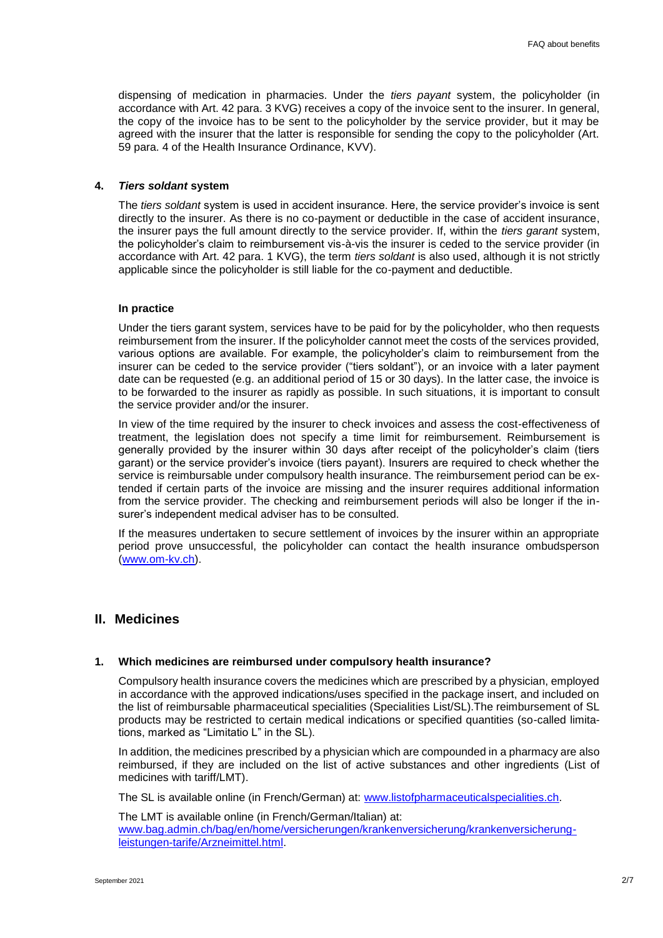dispensing of medication in pharmacies. Under the *tiers payant* system, the policyholder (in accordance with Art. 42 para. 3 KVG) receives a copy of the invoice sent to the insurer. In general, the copy of the invoice has to be sent to the policyholder by the service provider, but it may be agreed with the insurer that the latter is responsible for sending the copy to the policyholder (Art. 59 para. 4 of the Health Insurance Ordinance, KVV).

#### **4.** *Tiers soldant* **system**

The *tiers soldant* system is used in accident insurance. Here, the service provider's invoice is sent directly to the insurer. As there is no co-payment or deductible in the case of accident insurance, the insurer pays the full amount directly to the service provider. If, within the *tiers garant* system, the policyholder's claim to reimbursement vis-à-vis the insurer is ceded to the service provider (in accordance with Art. 42 para. 1 KVG), the term *tiers soldant* is also used, although it is not strictly applicable since the policyholder is still liable for the co-payment and deductible.

#### **In practice**

Under the tiers garant system, services have to be paid for by the policyholder, who then requests reimbursement from the insurer. If the policyholder cannot meet the costs of the services provided, various options are available. For example, the policyholder's claim to reimbursement from the insurer can be ceded to the service provider ("tiers soldant"), or an invoice with a later payment date can be requested (e.g. an additional period of 15 or 30 days). In the latter case, the invoice is to be forwarded to the insurer as rapidly as possible. In such situations, it is important to consult the service provider and/or the insurer.

In view of the time required by the insurer to check invoices and assess the cost-effectiveness of treatment, the legislation does not specify a time limit for reimbursement. Reimbursement is generally provided by the insurer within 30 days after receipt of the policyholder's claim (tiers garant) or the service provider's invoice (tiers payant). Insurers are required to check whether the service is reimbursable under compulsory health insurance. The reimbursement period can be extended if certain parts of the invoice are missing and the insurer requires additional information from the service provider. The checking and reimbursement periods will also be longer if the insurer's independent medical adviser has to be consulted.

If the measures undertaken to secure settlement of invoices by the insurer within an appropriate period prove unsuccessful, the policyholder can contact the health insurance ombudsperson [\(www.om-kv.ch\)](http://www.om-kv.ch/).

# <span id="page-1-0"></span>**II. Medicines**

#### **1. Which medicines are reimbursed under compulsory health insurance?**

Compulsory health insurance covers the medicines which are prescribed by a physician, employed in accordance with the approved indications/uses specified in the package insert, and included on the list of reimbursable pharmaceutical specialities (Specialities List/SL).The reimbursement of SL products may be restricted to certain medical indications or specified quantities (so-called limitations, marked as "Limitatio L" in the SL).

In addition, the medicines prescribed by a physician which are compounded in a pharmacy are also reimbursed, if they are included on the list of active substances and other ingredients (List of medicines with tariff/LMT).

The SL is available online (in French/German) at: [www.listofpharmaceuticalspecialities.ch.](http://www.listofpharmaceuticalspecialities.ch/)

The LMT is available online (in French/German/Italian) at: [www.bag.admin.ch/bag/en/home/versicherungen/krankenversicherung/krankenversicherung](https://www.bag.admin.ch/bag/en/home/versicherungen/krankenversicherung/krankenversicherung-leistungen-tarife/Arzneimittel.html)[leistungen-tarife/Arzneimittel.html.](https://www.bag.admin.ch/bag/en/home/versicherungen/krankenversicherung/krankenversicherung-leistungen-tarife/Arzneimittel.html)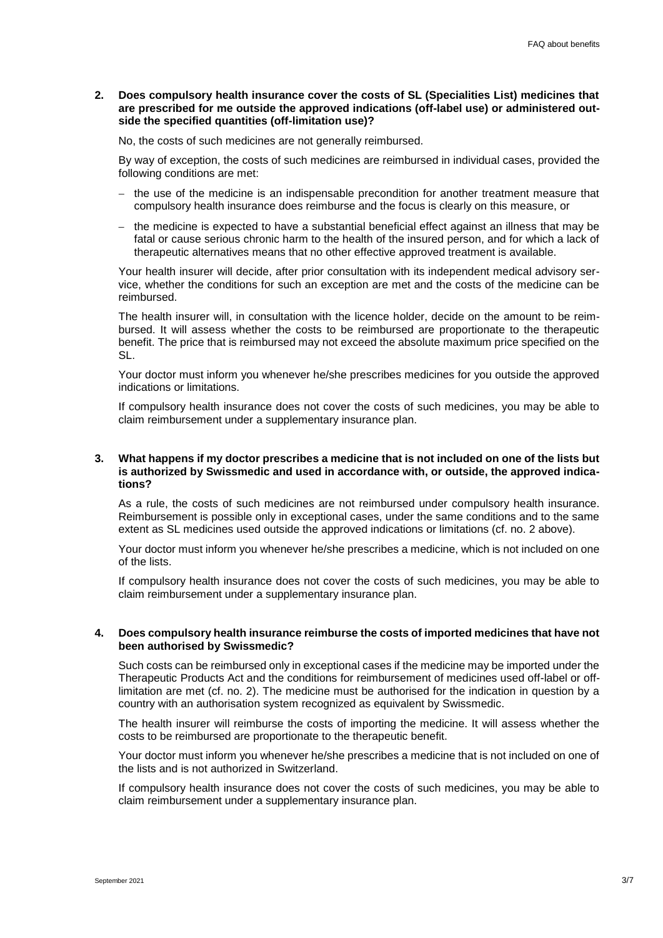**2. Does compulsory health insurance cover the costs of SL (Specialities List) medicines that are prescribed for me outside the approved indications (off-label use) or administered outside the specified quantities (off-limitation use)?**

No, the costs of such medicines are not generally reimbursed.

By way of exception, the costs of such medicines are reimbursed in individual cases, provided the following conditions are met:

- $-$  the use of the medicine is an indispensable precondition for another treatment measure that compulsory health insurance does reimburse and the focus is clearly on this measure, or
- $-$  the medicine is expected to have a substantial beneficial effect against an illness that may be fatal or cause serious chronic harm to the health of the insured person, and for which a lack of therapeutic alternatives means that no other effective approved treatment is available.

Your health insurer will decide, after prior consultation with its independent medical advisory service, whether the conditions for such an exception are met and the costs of the medicine can be reimbursed.

The health insurer will, in consultation with the licence holder, decide on the amount to be reimbursed. It will assess whether the costs to be reimbursed are proportionate to the therapeutic benefit. The price that is reimbursed may not exceed the absolute maximum price specified on the SL.

Your doctor must inform you whenever he/she prescribes medicines for you outside the approved indications or limitations.

If compulsory health insurance does not cover the costs of such medicines, you may be able to claim reimbursement under a supplementary insurance plan.

#### **3. What happens if my doctor prescribes a medicine that is not included on one of the lists but is authorized by Swissmedic and used in accordance with, or outside, the approved indications?**

As a rule, the costs of such medicines are not reimbursed under compulsory health insurance. Reimbursement is possible only in exceptional cases, under the same conditions and to the same extent as SL medicines used outside the approved indications or limitations (cf. no. 2 above).

Your doctor must inform you whenever he/she prescribes a medicine, which is not included on one of the lists.

If compulsory health insurance does not cover the costs of such medicines, you may be able to claim reimbursement under a supplementary insurance plan.

#### **4. Does compulsory health insurance reimburse the costs of imported medicines that have not been authorised by Swissmedic?**

Such costs can be reimbursed only in exceptional cases if the medicine may be imported under the Therapeutic Products Act and the conditions for reimbursement of medicines used off-label or offlimitation are met (cf. no. 2). The medicine must be authorised for the indication in question by a country with an authorisation system recognized as equivalent by Swissmedic.

The health insurer will reimburse the costs of importing the medicine. It will assess whether the costs to be reimbursed are proportionate to the therapeutic benefit.

Your doctor must inform you whenever he/she prescribes a medicine that is not included on one of the lists and is not authorized in Switzerland.

If compulsory health insurance does not cover the costs of such medicines, you may be able to claim reimbursement under a supplementary insurance plan.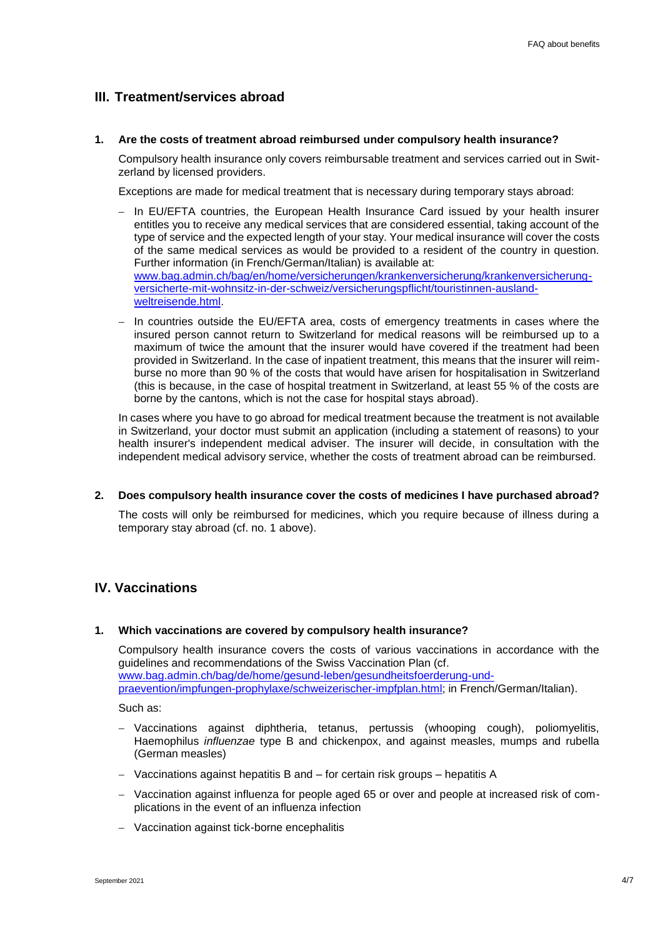# <span id="page-3-0"></span>**III. Treatment/services abroad**

**1. Are the costs of treatment abroad reimbursed under compulsory health insurance?**

Compulsory health insurance only covers reimbursable treatment and services carried out in Switzerland by licensed providers.

Exceptions are made for medical treatment that is necessary during temporary stays abroad:

- In EU/EFTA countries, the European Health Insurance Card issued by your health insurer entitles you to receive any medical services that are considered essential, taking account of the type of service and the expected length of your stay. Your medical insurance will cover the costs of the same medical services as would be provided to a resident of the country in question. Further information (in French/German/Italian) is available at: [www.bag.admin.ch/bag/en/home/versicherungen/krankenversicherung/krankenversicherung](http://www.bag.admin.ch/bag/en/home/versicherungen/krankenversicherung/krankenversicherung-versicherte-mit-wohnsitz-in-der-schweiz/versicherungspflicht/touristinnen-ausland-weltreisende.html)[versicherte-mit-wohnsitz-in-der-schweiz/versicherungspflicht/touristinnen-ausland](http://www.bag.admin.ch/bag/en/home/versicherungen/krankenversicherung/krankenversicherung-versicherte-mit-wohnsitz-in-der-schweiz/versicherungspflicht/touristinnen-ausland-weltreisende.html)[weltreisende.html.](http://www.bag.admin.ch/bag/en/home/versicherungen/krankenversicherung/krankenversicherung-versicherte-mit-wohnsitz-in-der-schweiz/versicherungspflicht/touristinnen-ausland-weltreisende.html)
- In countries outside the EU/EFTA area, costs of emergency treatments in cases where the insured person cannot return to Switzerland for medical reasons will be reimbursed up to a maximum of twice the amount that the insurer would have covered if the treatment had been provided in Switzerland. In the case of inpatient treatment, this means that the insurer will reimburse no more than 90 % of the costs that would have arisen for hospitalisation in Switzerland (this is because, in the case of hospital treatment in Switzerland, at least 55 % of the costs are borne by the cantons, which is not the case for hospital stays abroad).

In cases where you have to go abroad for medical treatment because the treatment is not available in Switzerland, your doctor must submit an application (including a statement of reasons) to your health insurer's independent medical adviser. The insurer will decide, in consultation with the independent medical advisory service, whether the costs of treatment abroad can be reimbursed.

**2. Does compulsory health insurance cover the costs of medicines I have purchased abroad?**

The costs will only be reimbursed for medicines, which you require because of illness during a temporary stay abroad (cf. no. 1 above).

# <span id="page-3-1"></span>**IV. Vaccinations**

#### **1. Which vaccinations are covered by compulsory health insurance?**

Compulsory health insurance covers the costs of various vaccinations in accordance with the guidelines and recommendations of the Swiss Vaccination Plan (cf. [www.bag.admin.ch/bag/de/home/gesund-leben/gesundheitsfoerderung-und](https://www.bag.admin.ch/bag/de/home/gesund-leben/gesundheitsfoerderung-und-praevention/impfungen-prophylaxe/schweizerischer-impfplan.html)[praevention/impfungen-prophylaxe/schweizerischer-impfplan.html;](https://www.bag.admin.ch/bag/de/home/gesund-leben/gesundheitsfoerderung-und-praevention/impfungen-prophylaxe/schweizerischer-impfplan.html) in French/German/Italian).

Such as:

- Vaccinations against diphtheria, tetanus, pertussis (whooping cough), poliomyelitis, Haemophilus *influenzae* type B and chickenpox, and against measles, mumps and rubella (German measles)
- Vaccinations against hepatitis B and for certain risk groups hepatitis A
- Vaccination against influenza for people aged 65 or over and people at increased risk of complications in the event of an influenza infection
- Vaccination against tick-borne encephalitis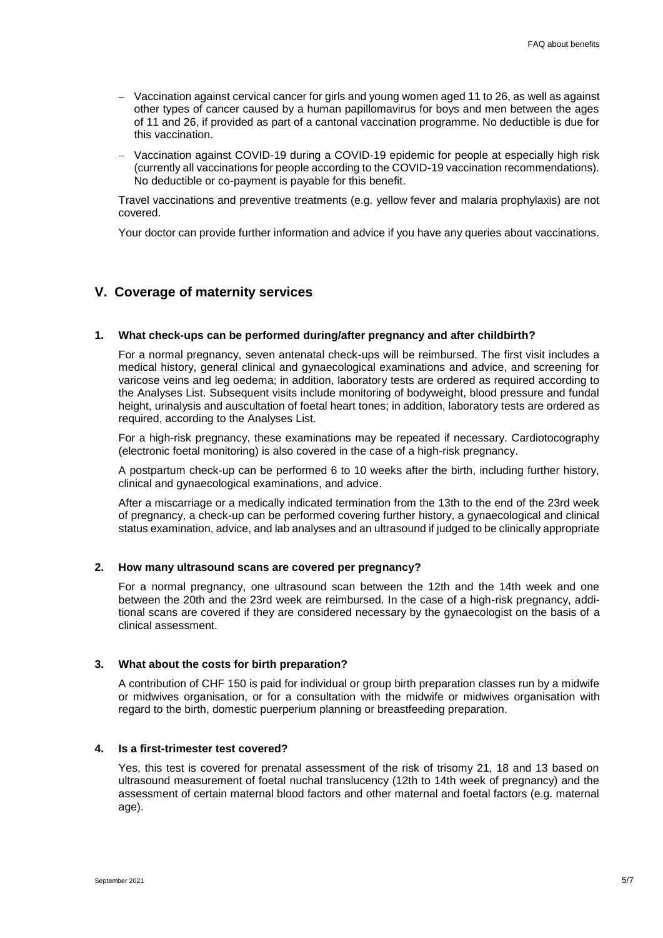- Vaccination against cervical cancer for girls and young women aged 11 to 26, as well as against other types of cancer caused by a human papillomavirus for boys and men between the ages of 11 and 26, if provided as part of a cantonal vaccination programme. No deductible is due for this vaccination.
- Vaccination against COVID-19 during a COVID-19 epidemic for people at especially high risk (currently all vaccinations for people according to the COVID-19 vaccination recommendations). No deductible or co-payment is payable for this benefit.

Travel vaccinations and preventive treatments (e.g. yellow fever and malaria prophylaxis) are not covered.

Your doctor can provide further information and advice if you have any queries about vaccinations.

# <span id="page-4-0"></span>**V. Coverage of maternity services**

## **1. What check-ups can be performed during/after pregnancy and after childbirth?**

For a normal pregnancy, seven antenatal check-ups will be reimbursed. The first visit includes a medical history, general clinical and gynaecological examinations and advice, and screening for varicose veins and leg oedema; in addition, laboratory tests are ordered as required according to the Analyses List. Subsequent visits include monitoring of bodyweight, blood pressure and fundal height, urinalysis and auscultation of foetal heart tones; in addition, laboratory tests are ordered as required, according to the Analyses List.

For a high-risk pregnancy, these examinations may be repeated if necessary. Cardiotocography (electronic foetal monitoring) is also covered in the case of a high-risk pregnancy.

A postpartum check-up can be performed 6 to 10 weeks after the birth, including further history, clinical and gynaecological examinations, and advice.

After a miscarriage or a medically indicated termination from the 13th to the end of the 23rd week of pregnancy, a check-up can be performed covering further history, a gynaecological and clinical status examination, advice, and lab analyses and an ultrasound if judged to be clinically appropriate

## **2. How many ultrasound scans are covered per pregnancy?**

For a normal pregnancy, one ultrasound scan between the 12th and the 14th week and one between the 20th and the 23rd week are reimbursed. In the case of a high-risk pregnancy, additional scans are covered if they are considered necessary by the gynaecologist on the basis of a clinical assessment.

## **3. What about the costs for birth preparation?**

A contribution of CHF 150 is paid for individual or group birth preparation classes run by a midwife or midwives organisation, or for a consultation with the midwife or midwives organisation with regard to the birth, domestic puerperium planning or breastfeeding preparation.

## **4. Is a first-trimester test covered?**

Yes, this test is covered for prenatal assessment of the risk of trisomy 21, 18 and 13 based on ultrasound measurement of foetal nuchal translucency (12th to 14th week of pregnancy) and the assessment of certain maternal blood factors and other maternal and foetal factors (e.g. maternal age).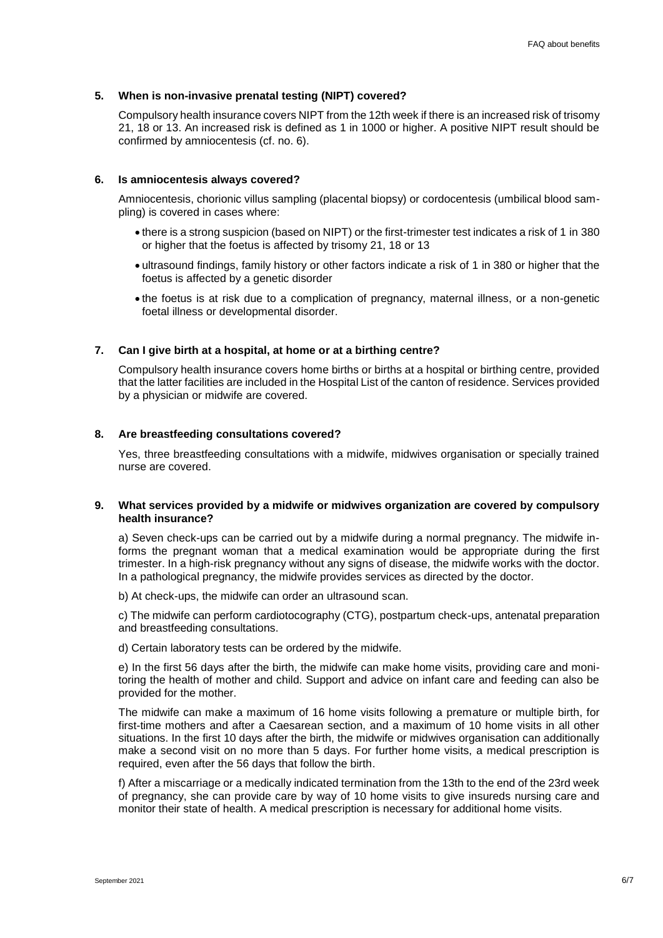#### **5. When is non-invasive prenatal testing (NIPT) covered?**

Compulsory health insurance covers NIPT from the 12th week if there is an increased risk of trisomy 21, 18 or 13. An increased risk is defined as 1 in 1000 or higher. A positive NIPT result should be confirmed by amniocentesis (cf. no. 6).

#### **6. Is amniocentesis always covered?**

Amniocentesis, chorionic villus sampling (placental biopsy) or cordocentesis (umbilical blood sampling) is covered in cases where:

- there is a strong suspicion (based on NIPT) or the first-trimester test indicates a risk of 1 in 380 or higher that the foetus is affected by trisomy 21, 18 or 13
- ultrasound findings, family history or other factors indicate a risk of 1 in 380 or higher that the foetus is affected by a genetic disorder
- the foetus is at risk due to a complication of pregnancy, maternal illness, or a non-genetic foetal illness or developmental disorder.

#### **7. Can I give birth at a hospital, at home or at a birthing centre?**

Compulsory health insurance covers home births or births at a hospital or birthing centre, provided that the latter facilities are included in the Hospital List of the canton of residence. Services provided by a physician or midwife are covered.

#### **8. Are breastfeeding consultations covered?**

Yes, three breastfeeding consultations with a midwife, midwives organisation or specially trained nurse are covered.

#### **9. What services provided by a midwife or midwives organization are covered by compulsory health insurance?**

a) Seven check-ups can be carried out by a midwife during a normal pregnancy. The midwife informs the pregnant woman that a medical examination would be appropriate during the first trimester. In a high-risk pregnancy without any signs of disease, the midwife works with the doctor. In a pathological pregnancy, the midwife provides services as directed by the doctor.

b) At check-ups, the midwife can order an ultrasound scan.

c) The midwife can perform cardiotocography (CTG), postpartum check-ups, antenatal preparation and breastfeeding consultations.

d) Certain laboratory tests can be ordered by the midwife.

e) In the first 56 days after the birth, the midwife can make home visits, providing care and monitoring the health of mother and child. Support and advice on infant care and feeding can also be provided for the mother.

The midwife can make a maximum of 16 home visits following a premature or multiple birth, for first-time mothers and after a Caesarean section, and a maximum of 10 home visits in all other situations. In the first 10 days after the birth, the midwife or midwives organisation can additionally make a second visit on no more than 5 days. For further home visits, a medical prescription is required, even after the 56 days that follow the birth.

f) After a miscarriage or a medically indicated termination from the 13th to the end of the 23rd week of pregnancy, she can provide care by way of 10 home visits to give insureds nursing care and monitor their state of health. A medical prescription is necessary for additional home visits.